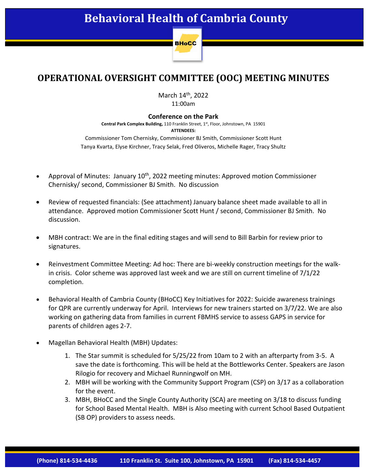

## **OPERATIONAL OVERSIGHT COMMITTEE (OOC) MEETING MINUTES**

March 14<sup>th</sup>, 2022 11:00am

## **Conference on the Park**

Central Park Complex Building, 110 Franklin Street, 1st, Floor, Johnstown, PA 15901 **ATTENDEES:** Commissioner Tom Chernisky, Commissioner BJ Smith, Commissioner Scott Hunt

Tanya Kvarta, Elyse Kirchner, Tracy Selak, Fred Oliveros, Michelle Rager, Tracy Shultz

- Approval of Minutes: January  $10^{th}$ , 2022 meeting minutes: Approved motion Commissioner Chernisky/ second, Commissioner BJ Smith. No discussion
- Review of requested financials: (See attachment) January balance sheet made available to all in attendance. Approved motion Commissioner Scott Hunt / second, Commissioner BJ Smith. No discussion.
- MBH contract: We are in the final editing stages and will send to Bill Barbin for review prior to signatures.
- Reinvestment Committee Meeting: Ad hoc: There are bi-weekly construction meetings for the walkin crisis. Color scheme was approved last week and we are still on current timeline of  $7/1/22$ completion.
- Behavioral Health of Cambria County (BHoCC) Key Initiatives for 2022: Suicide awareness trainings for QPR are currently underway for April. Interviews for new trainers started on 3/7/22. We are also working on gathering data from families in current FBMHS service to assess GAPS in service for parents of children ages 2-7.
- Magellan Behavioral Health (MBH) Updates:
	- 1. The Star summit is scheduled for 5/25/22 from 10am to 2 with an afterparty from 3-5. A save the date is forthcoming. This will be held at the Bottleworks Center. Speakers are Jason Rilogio for recovery and Michael Runningwolf on MH.
	- 2. MBH will be working with the Community Support Program (CSP) on 3/17 as a collaboration for the event.
	- 3. MBH, BHoCC and the Single County Authority (SCA) are meeting on 3/18 to discuss funding for School Based Mental Health. MBH is Also meeting with current School Based Outpatient (SB OP) providers to assess needs.